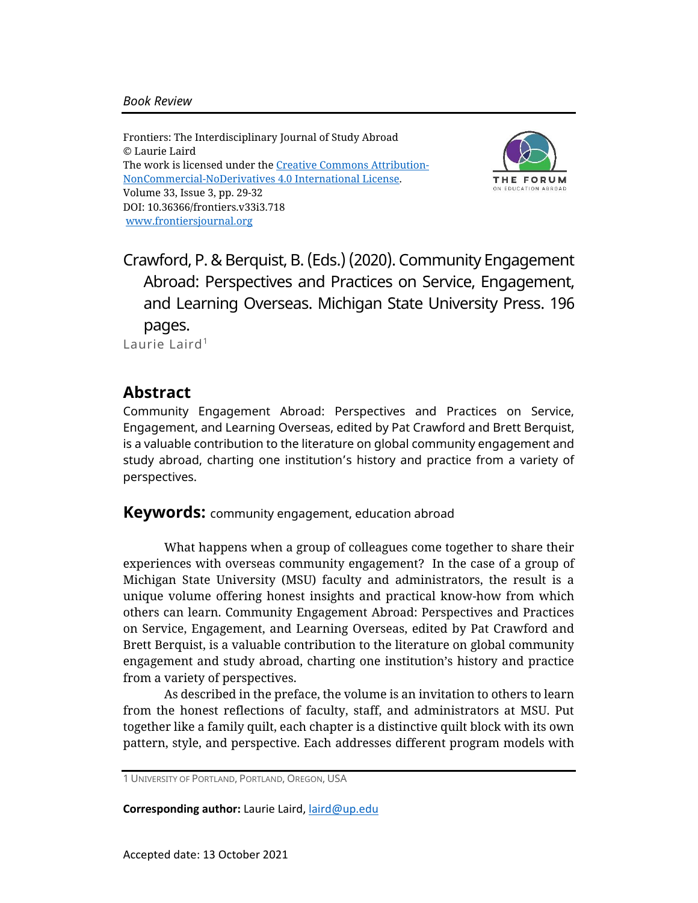Frontiers: The Interdisciplinary Journal of Study Abroad © Laurie Laird The work is licensed under the [Creative Commons Attribution-](https://creativecommons.org/licenses/by-nc-nd/4.0/)[NonCommercial-NoDerivatives](https://creativecommons.org/licenses/by-nc-nd/4.0/) 4.0 International License. Volume 33, Issue 3, pp. 29-32 DOI: 10.36366/frontiers.v33i3.718 [www.frontiersjournal.org](http://www.frontiersjournal.org/)



Crawford, P. & Berquist, B. (Eds.) (2020). Community Engagement Abroad: Perspectives and Practices on Service, Engagement, and Learning Overseas. Michigan State University Press. 196 pages. Laurie Laird<sup>1</sup>

## **Abstract**

Community Engagement Abroad: Perspectives and Practices on Service, Engagement, and Learning Overseas, edited by Pat Crawford and Brett Berquist, is a valuable contribution to the literature on global community engagement and study abroad, charting one institution's history and practice from a variety of perspectives.

**Keywords:** community engagement, education abroad

What happens when a group of colleagues come together to share their experiences with overseas community engagement? In the case of a group of Michigan State University (MSU) faculty and administrators, the result is a unique volume offering honest insights and practical know-how from which others can learn. Community Engagement Abroad: Perspectives and Practices on Service, Engagement, and Learning Overseas, edited by Pat Crawford and Brett Berquist, is a valuable contribution to the literature on global community engagement and study abroad, charting one institution's history and practice from a variety of perspectives.

As described in the preface, the volume is an invitation to others to learn from the honest reflections of faculty, staff, and administrators at MSU. Put together like a family quilt, each chapter is a distinctive quilt block with its own pattern, style, and perspective. Each addresses different program models with

**Corresponding author:** Laurie Laird, [laird@up.edu](mailto:laird@up.edu)

<sup>1</sup> UNIVERSITY OF PORTLAND, PORTLAND, OREGON, USA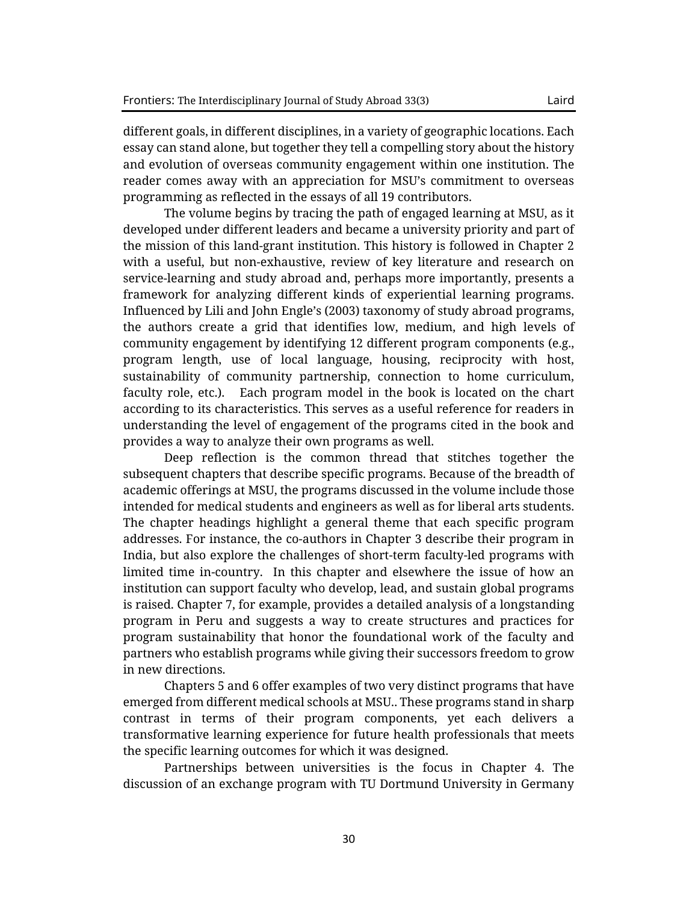programming as reflected in the essays of all 19 contributors.

different goals, in different disciplines, in a variety of geographic locations. Each essay can stand alone, but together they tell a compelling story about the history and evolution of overseas community engagement within one institution. The reader comes away with an appreciation for MSU's commitment to overseas

The volume begins by tracing the path of engaged learning at MSU, as it developed under different leaders and became a university priority and part of the mission of this land-grant institution. This history is followed in Chapter 2 with a useful, but non-exhaustive, review of key literature and research on service-learning and study abroad and, perhaps more importantly, presents a framework for analyzing different kinds of experiential learning programs. Influenced by Lili and John Engle's (2003) taxonomy of study abroad programs, the authors create a grid that identifies low, medium, and high levels of community engagement by identifying 12 different program components (e.g., program length, use of local language, housing, reciprocity with host, sustainability of community partnership, connection to home curriculum, faculty role, etc.). Each program model in the book is located on the chart according to its characteristics. This serves as a useful reference for readers in understanding the level of engagement of the programs cited in the book and provides a way to analyze their own programs as well.

Deep reflection is the common thread that stitches together the subsequent chapters that describe specific programs. Because of the breadth of academic offerings at MSU, the programs discussed in the volume include those intended for medical students and engineers as well as for liberal arts students. The chapter headings highlight a general theme that each specific program addresses. For instance, the co-authors in Chapter 3 describe their program in India, but also explore the challenges of short-term faculty-led programs with limited time in-country. In this chapter and elsewhere the issue of how an institution can support faculty who develop, lead, and sustain global programs is raised. Chapter 7, for example, provides a detailed analysis of a longstanding program in Peru and suggests a way to create structures and practices for program sustainability that honor the foundational work of the faculty and partners who establish programs while giving their successors freedom to grow in new directions.

Chapters 5 and 6 offer examples of two very distinct programs that have emerged from different medical schools at MSU.. These programs stand in sharp contrast in terms of their program components, yet each delivers a transformative learning experience for future health professionals that meets the specific learning outcomes for which it was designed.

Partnerships between universities is the focus in Chapter 4. The discussion of an exchange program with TU Dortmund University in Germany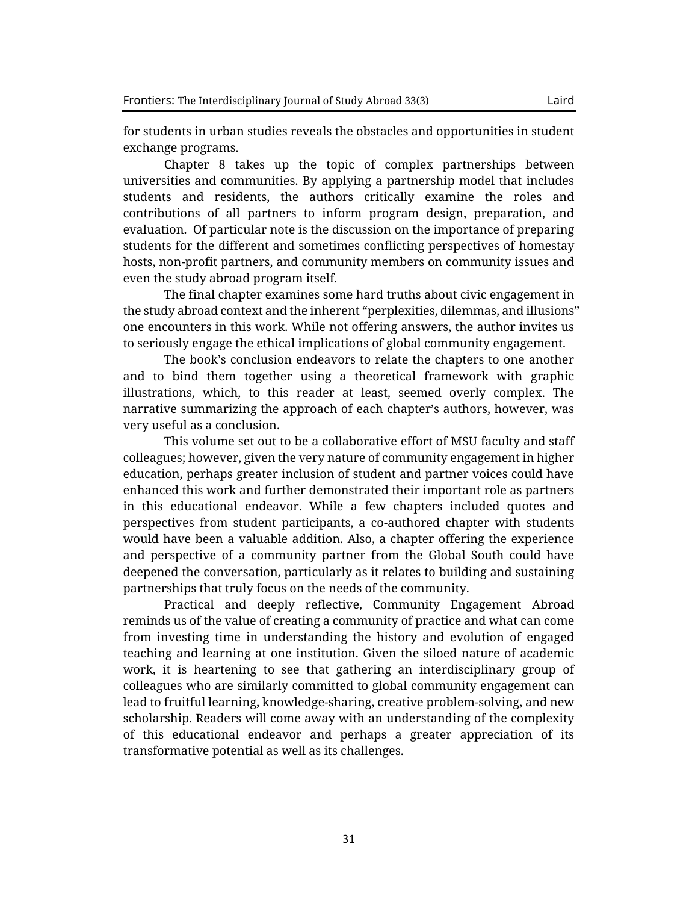for students in urban studies reveals the obstacles and opportunities in student exchange programs.

Chapter 8 takes up the topic of complex partnerships between universities and communities. By applying a partnership model that includes students and residents, the authors critically examine the roles and contributions of all partners to inform program design, preparation, and evaluation. Of particular note is the discussion on the importance of preparing students for the different and sometimes conflicting perspectives of homestay hosts, non-profit partners, and community members on community issues and even the study abroad program itself.

The final chapter examines some hard truths about civic engagement in the study abroad context and the inherent "perplexities, dilemmas, and illusions" one encounters in this work. While not offering answers, the author invites us to seriously engage the ethical implications of global community engagement.

The book's conclusion endeavors to relate the chapters to one another and to bind them together using a theoretical framework with graphic illustrations, which, to this reader at least, seemed overly complex. The narrative summarizing the approach of each chapter's authors, however, was very useful as a conclusion.

This volume set out to be a collaborative effort of MSU faculty and staff colleagues; however, given the very nature of community engagement in higher education, perhaps greater inclusion of student and partner voices could have enhanced this work and further demonstrated their important role as partners in this educational endeavor. While a few chapters included quotes and perspectives from student participants, a co-authored chapter with students would have been a valuable addition. Also, a chapter offering the experience and perspective of a community partner from the Global South could have deepened the conversation, particularly as it relates to building and sustaining partnerships that truly focus on the needs of the community.

Practical and deeply reflective, Community Engagement Abroad reminds us of the value of creating a community of practice and what can come from investing time in understanding the history and evolution of engaged teaching and learning at one institution. Given the siloed nature of academic work, it is heartening to see that gathering an interdisciplinary group of colleagues who are similarly committed to global community engagement can lead to fruitful learning, knowledge-sharing, creative problem-solving, and new scholarship. Readers will come away with an understanding of the complexity of this educational endeavor and perhaps a greater appreciation of its transformative potential as well as its challenges.